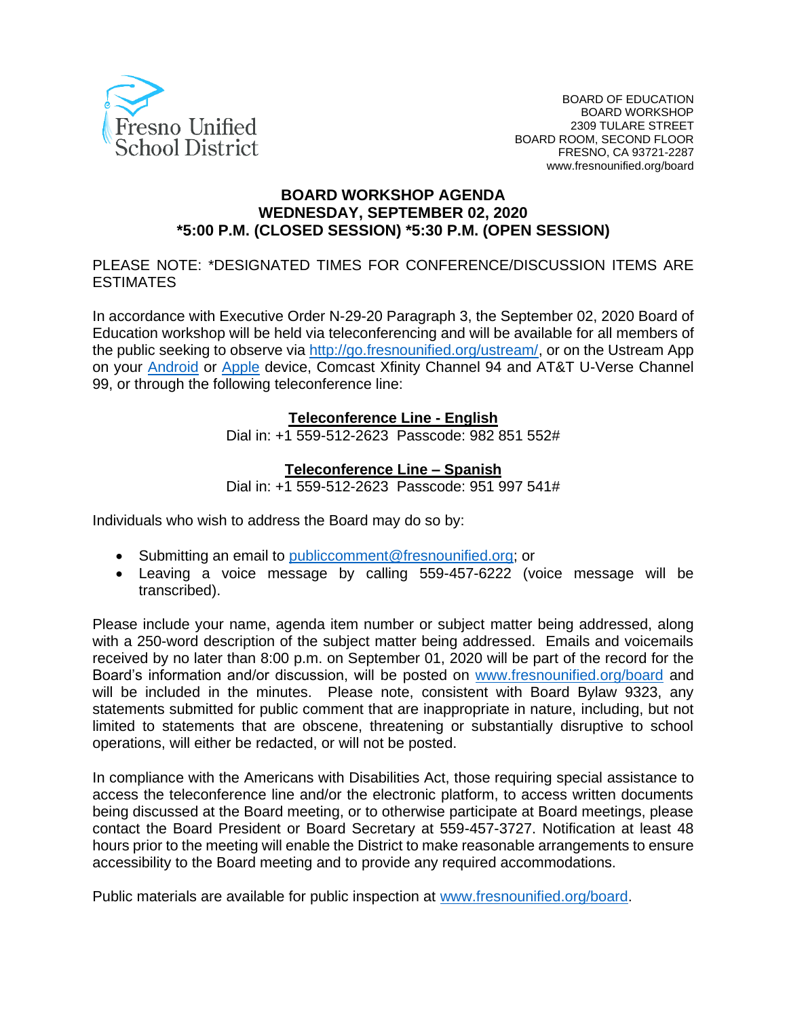

#### **BOARD WORKSHOP AGENDA WEDNESDAY, SEPTEMBER 02, 2020 \*5:00 P.M. (CLOSED SESSION) \*5:30 P.M. (OPEN SESSION)**

PLEASE NOTE: \*DESIGNATED TIMES FOR CONFERENCE/DISCUSSION ITEMS ARE **FSTIMATES** 

In accordance with Executive Order N-29-20 Paragraph 3, the September 02, 2020 Board of Education workshop will be held via teleconferencing and will be available for all members of the public seeking to observe via [http://go.fresnounified.org/ustream/,](http://go.fresnounified.org/ustream/) or on the Ustream App on your [Android](https://play.google.com/store/apps/details?id=tv.ustream.ustream&hl=en_US) or [Apple](https://itunes.apple.com/us/app/ustream/id301520250?mt=8) device, Comcast Xfinity Channel 94 and AT&T U-Verse Channel 99, or through the following teleconference line:

#### **Teleconference Line - English**

Dial in: +1 559-512-2623 Passcode: 982 851 552#

#### **Teleconference Line – Spanish**

Dial in: +1 559-512-2623 Passcode: 951 997 541#

Individuals who wish to address the Board may do so by:

- Submitting an email to [publiccomment@fresnounified.org;](mailto:publiccomment@fresnounified.org) or
- Leaving a voice message by calling 559-457-6222 (voice message will be transcribed).

Please include your name, agenda item number or subject matter being addressed, along with a 250-word description of the subject matter being addressed. Emails and voicemails received by no later than 8:00 p.m. on September 01, 2020 will be part of the record for the Board's information and/or discussion, will be posted on [www.fresnounified.org/board](http://www.fresnounified.org/board) and will be included in the minutes. Please note, consistent with Board Bylaw 9323, any statements submitted for public comment that are inappropriate in nature, including, but not limited to statements that are obscene, threatening or substantially disruptive to school operations, will either be redacted, or will not be posted.

In compliance with the Americans with Disabilities Act, those requiring special assistance to access the teleconference line and/or the electronic platform, to access written documents being discussed at the Board meeting, or to otherwise participate at Board meetings, please contact the Board President or Board Secretary at 559-457-3727. Notification at least 48 hours prior to the meeting will enable the District to make reasonable arrangements to ensure accessibility to the Board meeting and to provide any required accommodations.

Public materials are available for public inspection at [www.fresnounified.org/board.](http://www.fresnounified.org/board)